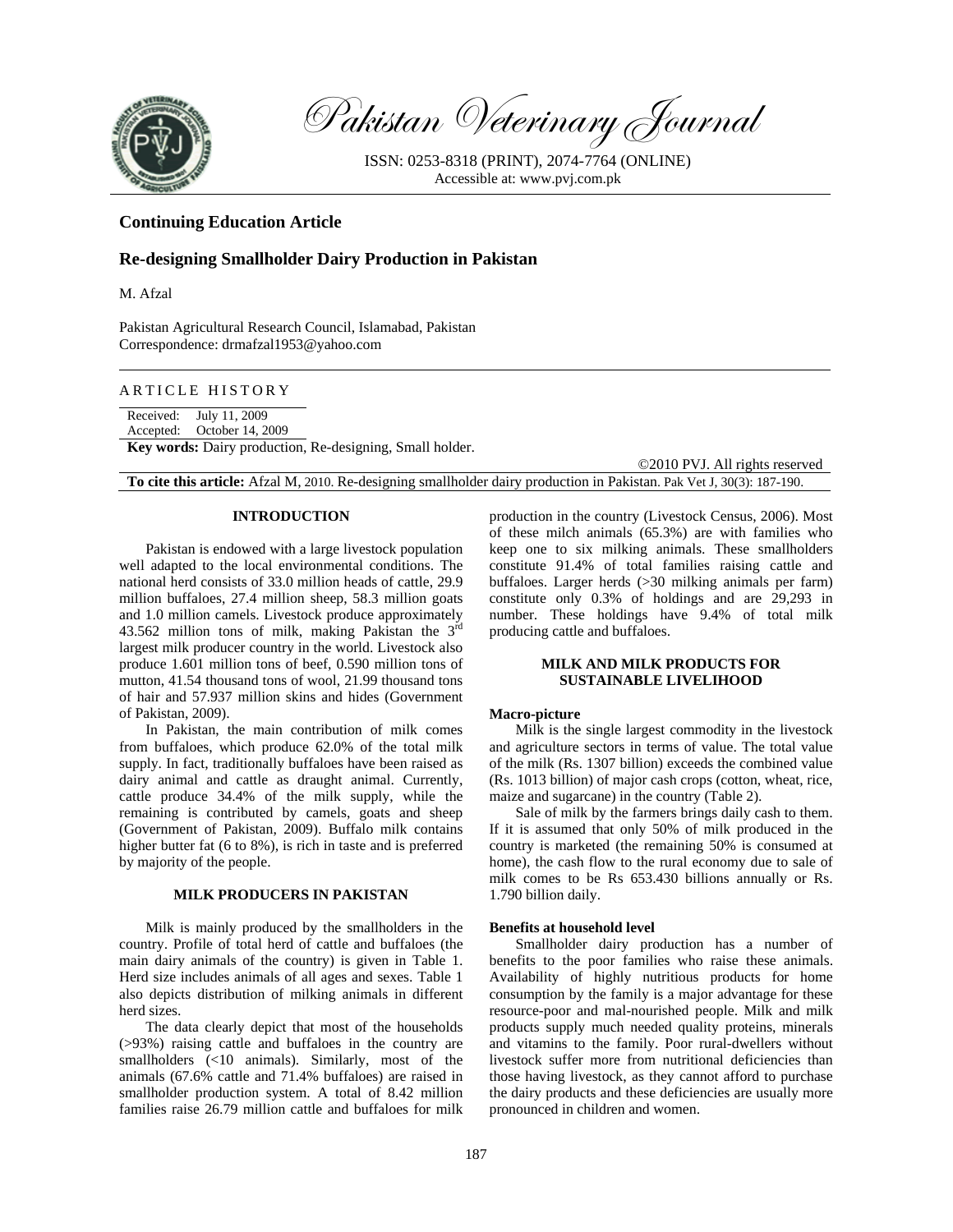

Pakistan Veterinary Journal

ISSN: 0253-8318 (PRINT), 2074-7764 (ONLINE) Accessible at: www.pvj.com.pk

# **Continuing Education Article**

## **Re-designing Smallholder Dairy Production in Pakistan**

M. Afzal

Pakistan Agricultural Research Council, Islamabad, Pakistan Correspondence: drmafzal1953@yahoo.com

## ARTICLE HISTORY

Received: Accepted: October 14, 2009 July 11, 2009 **Key words:** Dairy production, Re-designing, Small holder.

**To cite this article:** Afzal M, 2010. Re-designing smallholder dairy production in Pakistan. Pak Vet J, 30(3): 187-190. **INTRODUCTION**  Pakistan is endowed with a large livestock population production in the country (Livestock Census, 2006). Most

well adapted to the local environmental conditions. The national herd consists of 33.0 million heads of cattle, 29.9 million buffaloes, 27.4 million sheep, 58.3 million goats and 1.0 million camels. Livestock produce approximately 43.562 million tons of milk, making Pakistan the 3<sup>rd</sup> largest milk producer country in the world. Livestock also produce 1.601 million tons of beef, 0.590 million tons of mutton, 41.54 thousand tons of wool, 21.99 thousand tons of hair and 57.937 million skins and hides (Government of Pakistan, 2009).

In Pakistan, the main contribution of milk comes from buffaloes, which produce 62.0% of the total milk supply. In fact, traditionally buffaloes have been raised as dairy animal and cattle as draught animal. Currently, cattle produce 34.4% of the milk supply, while the remaining is contributed by camels, goats and sheep (Government of Pakistan, 2009). Buffalo milk contains higher butter fat (6 to 8%), is rich in taste and is preferred by majority of the people.

### **MILK PRODUCERS IN PAKISTAN**

Milk is mainly produced by the smallholders in the country. Profile of total herd of cattle and buffaloes (the main dairy animals of the country) is given in Table 1. Herd size includes animals of all ages and sexes. Table 1 also depicts distribution of milking animals in different herd sizes.

The data clearly depict that most of the households (>93%) raising cattle and buffaloes in the country are smallholders (<10 animals). Similarly, most of the animals (67.6% cattle and 71.4% buffaloes) are raised in smallholder production system. A total of 8.42 million families raise 26.79 million cattle and buffaloes for milk

of these milch animals (65.3%) are with families who keep one to six milking animals. These smallholders constitute 91.4% of total families raising cattle and buffaloes. Larger herds (>30 milking animals per farm) constitute only 0.3% of holdings and are 29,293 in number. These holdings have 9.4% of total milk producing cattle and buffaloes.

©2010 PVJ. All rights reserved

### **MILK AND MILK PRODUCTS FOR SUSTAINABLE LIVELIHOOD**

#### **Macro-picture**

Milk is the single largest commodity in the livestock and agriculture sectors in terms of value. The total value of the milk (Rs. 1307 billion) exceeds the combined value (Rs. 1013 billion) of major cash crops (cotton, wheat, rice, maize and sugarcane) in the country (Table 2).

Sale of milk by the farmers brings daily cash to them. If it is assumed that only 50% of milk produced in the country is marketed (the remaining 50% is consumed at home), the cash flow to the rural economy due to sale of milk comes to be Rs 653.430 billions annually or Rs. 1.790 billion daily.

### **Benefits at household level**

Smallholder dairy production has a number of benefits to the poor families who raise these animals. Availability of highly nutritious products for home consumption by the family is a major advantage for these resource-poor and mal-nourished people. Milk and milk products supply much needed quality proteins, minerals and vitamins to the family. Poor rural-dwellers without livestock suffer more from nutritional deficiencies than those having livestock, as they cannot afford to purchase the dairy products and these deficiencies are usually more pronounced in children and women.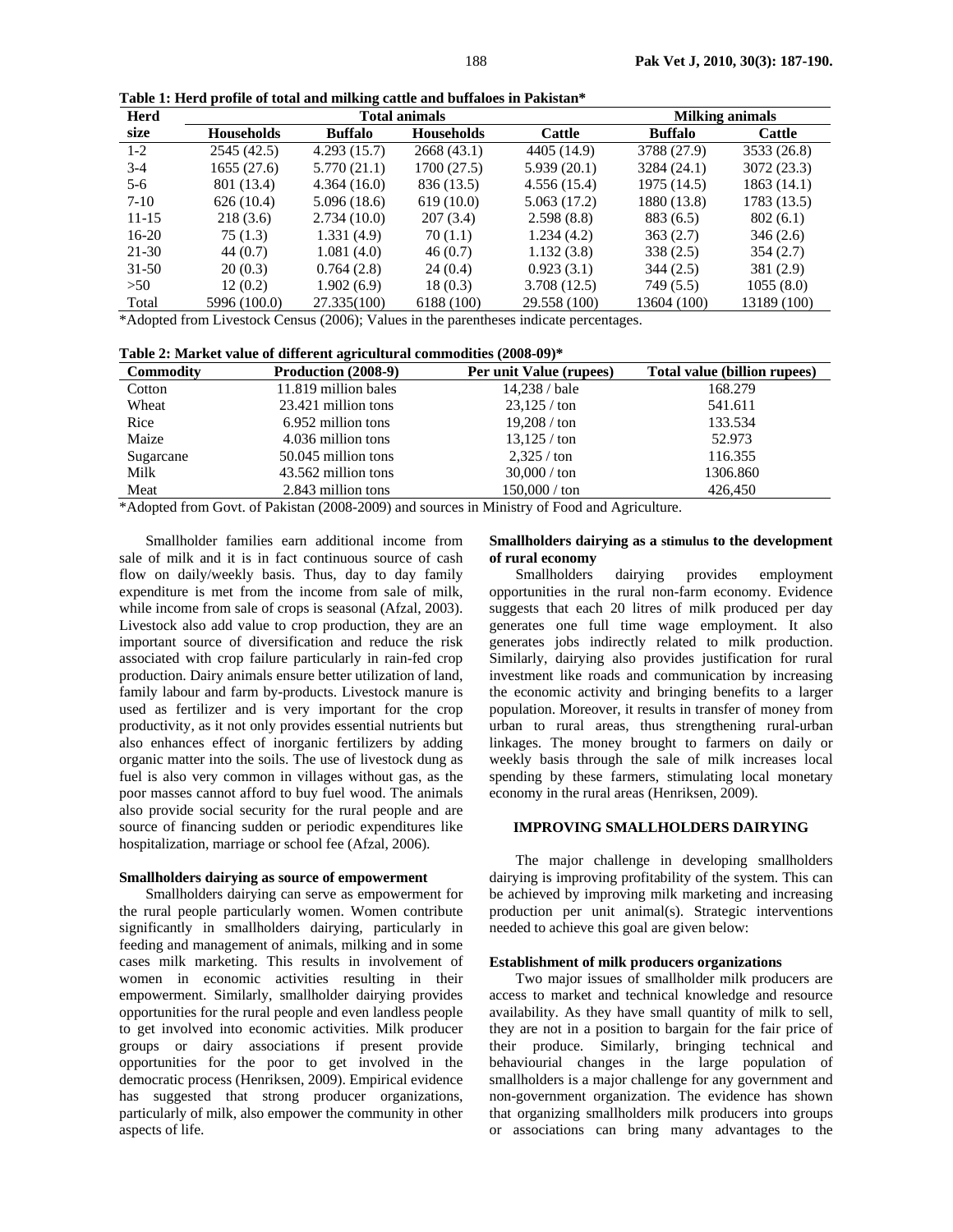| <b>Herd</b> |                   |             | <b>Total animals</b> |               |                | <b>Milking animals</b> |
|-------------|-------------------|-------------|----------------------|---------------|----------------|------------------------|
| size        | <b>Households</b> | Buffalo     | <b>Households</b>    | <b>Cattle</b> | <b>Buffalo</b> | Cattle                 |
| $1-2$       | 2545(42.5)        | 4.293(15.7) | 2668 (43.1)          | 4405 (14.9)   | 3788 (27.9)    | 3533 (26.8)            |
| $3-4$       | 1655(27.6)        | 5.770(21.1) | 1700 (27.5)          | 5.939(20.1)   | 3284 (24.1)    | 3072 (23.3)            |
| $5-6$       | 801 (13.4)        | 4.364(16.0) | 836 (13.5)           | 4.556(15.4)   | 1975 (14.5)    | 1863 (14.1)            |
| $7-10$      | 626(10.4)         | 5.096(18.6) | 619(10.0)            | 5.063(17.2)   | 1880 (13.8)    | 1783 (13.5)            |
| $11 - 15$   | 218(3.6)          | 2.734(10.0) | 207(3.4)             | 2.598(8.8)    | 883 (6.5)      | 802(6.1)               |
| $16-20$     | 75 (1.3)          | 1.331(4.9)  | 70(1.1)              | 1.234(4.2)    | 363(2.7)       | 346(2.6)               |
| 21-30       | 44 (0.7)          | 1.081(4.0)  | 46(0.7)              | 1.132(3.8)    | 338(2.5)       | 354(2.7)               |
| $31 - 50$   | 20(0.3)           | 0.764(2.8)  | 24(0.4)              | 0.923(3.1)    | 344(2.5)       | 381 (2.9)              |
| >50         | 12(0.2)           | 1.902(6.9)  | 18(0.3)              | 3.708 (12.5)  | 749 (5.5)      | 1055(8.0)              |
| Total       | 5996 (100.0)      | 27.335(100) | 6188 (100)           | 29.558 (100)  | 13604 (100)    | 13189 (100)            |

**Table 1: Herd profile of total and milking cattle and buffaloes in Pakistan\*** 

\*Adopted from Livestock Census (2006); Values in the parentheses indicate percentages.

**Table 2: Market value of different agricultural commodities (2008-09)\*** 

| <b>Commodity</b> | Production (2008-9)  | Per unit Value (rupees) | Total value (billion rupees) |
|------------------|----------------------|-------------------------|------------------------------|
| Cotton           | 11.819 million bales | $14,238 / \text{bale}$  | 168.279                      |
| Wheat            | 23.421 million tons  | $23,125$ / ton          | 541.611                      |
| Rice             | 6.952 million tons   | $19,208 / \text{ton}$   | 133.534                      |
| Maize            | 4.036 million tons   | $13,125 / \text{ton}$   | 52.973                       |
| Sugarcane        | 50.045 million tons  | $2,325 / \text{ton}$    | 116.355                      |
| Milk             | 43.562 million tons  | $30,000 / \text{ton}$   | 1306.860                     |
| Meat             | 2.843 million tons   | 150,000 / ton           | 426,450                      |

\*Adopted from Govt. of Pakistan (2008-2009) and sources in Ministry of Food and Agriculture.

Smallholder families earn additional income from sale of milk and it is in fact continuous source of cash flow on daily/weekly basis. Thus, day to day family expenditure is met from the income from sale of milk, while income from sale of crops is seasonal (Afzal, 2003). Livestock also add value to crop production, they are an important source of diversification and reduce the risk associated with crop failure particularly in rain-fed crop production. Dairy animals ensure better utilization of land, family labour and farm by-products. Livestock manure is used as fertilizer and is very important for the crop productivity, as it not only provides essential nutrients but also enhances effect of inorganic fertilizers by adding organic matter into the soils. The use of livestock dung as fuel is also very common in villages without gas, as the poor masses cannot afford to buy fuel wood. The animals also provide social security for the rural people and are source of financing sudden or periodic expenditures like hospitalization, marriage or school fee (Afzal, 2006).

#### **Smallholders dairying as source of empowerment**

Smallholders dairying can serve as empowerment for the rural people particularly women. Women contribute significantly in smallholders dairying, particularly in feeding and management of animals, milking and in some cases milk marketing. This results in involvement of women in economic activities resulting in their empowerment. Similarly, smallholder dairying provides opportunities for the rural people and even landless people to get involved into economic activities. Milk producer groups or dairy associations if present provide opportunities for the poor to get involved in the democratic process (Henriksen, 2009). Empirical evidence has suggested that strong producer organizations, particularly of milk, also empower the community in other aspects of life.

## **Smallholders dairying as a stimulus to the development of rural economy**

Smallholders dairying provides employment opportunities in the rural non-farm economy. Evidence suggests that each 20 litres of milk produced per day generates one full time wage employment. It also generates jobs indirectly related to milk production. Similarly, dairying also provides justification for rural investment like roads and communication by increasing the economic activity and bringing benefits to a larger population. Moreover, it results in transfer of money from urban to rural areas, thus strengthening rural-urban linkages. The money brought to farmers on daily or weekly basis through the sale of milk increases local spending by these farmers, stimulating local monetary economy in the rural areas (Henriksen, 2009).

## **IMPROVING SMALLHOLDERS DAIRYING**

The major challenge in developing smallholders dairying is improving profitability of the system. This can be achieved by improving milk marketing and increasing production per unit animal(s). Strategic interventions needed to achieve this goal are given below:

## **Establishment of milk producers organizations**

Two major issues of smallholder milk producers are access to market and technical knowledge and resource availability. As they have small quantity of milk to sell, they are not in a position to bargain for the fair price of their produce. Similarly, bringing technical and behaviourial changes in the large population of smallholders is a major challenge for any government and non-government organization. The evidence has shown that organizing smallholders milk producers into groups or associations can bring many advantages to the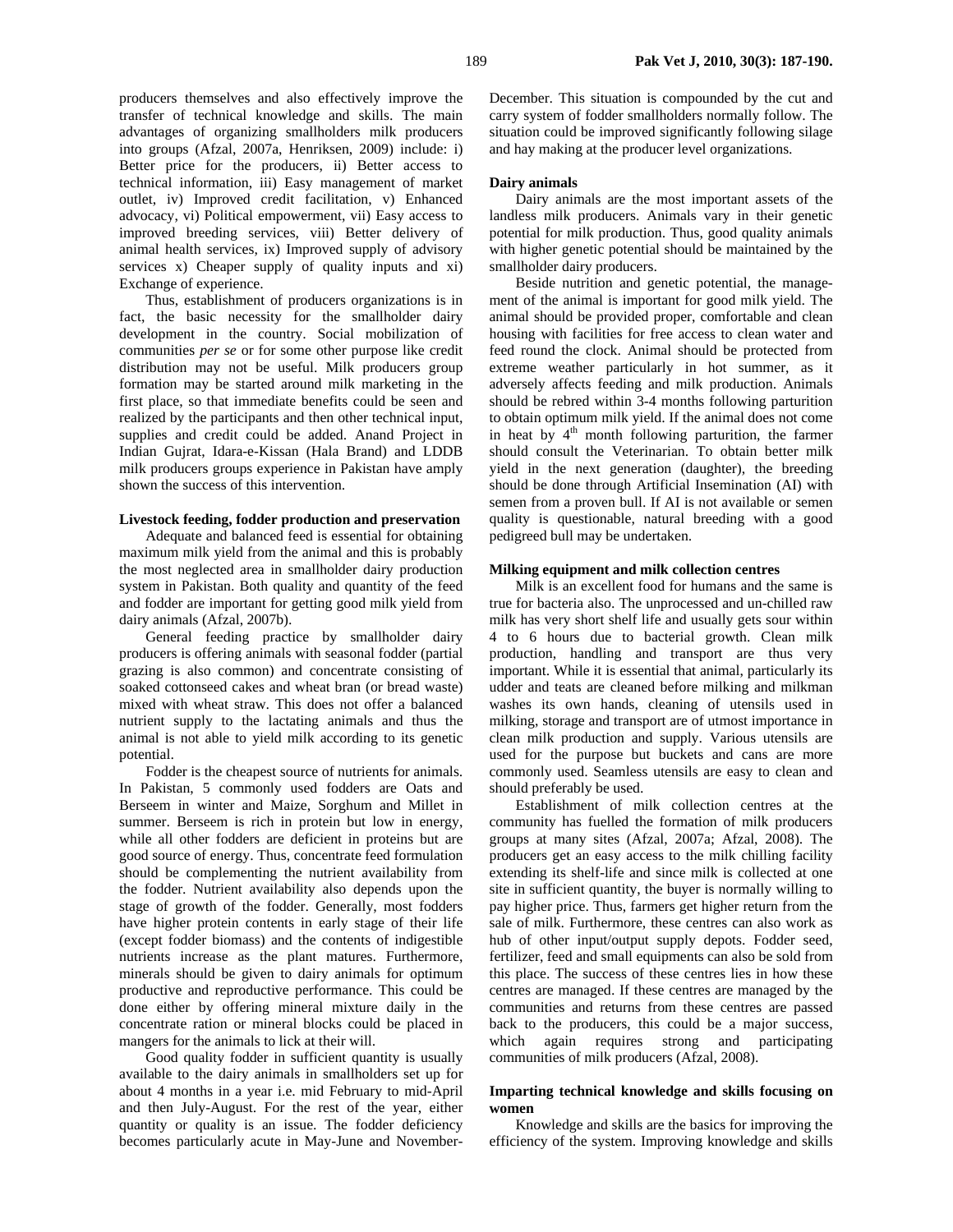producers themselves and also effectively improve the transfer of technical knowledge and skills. The main advantages of organizing smallholders milk producers into groups (Afzal, 2007a, Henriksen, 2009) include: i) Better price for the producers, ii) Better access to technical information, iii) Easy management of market outlet, iv) Improved credit facilitation, v) Enhanced advocacy, vi) Political empowerment, vii) Easy access to improved breeding services, viii) Better delivery of animal health services, ix) Improved supply of advisory services x) Cheaper supply of quality inputs and xi) Exchange of experience.

Thus, establishment of producers organizations is in fact, the basic necessity for the smallholder dairy development in the country. Social mobilization of communities *per se* or for some other purpose like credit distribution may not be useful. Milk producers group formation may be started around milk marketing in the first place, so that immediate benefits could be seen and realized by the participants and then other technical input, supplies and credit could be added. Anand Project in Indian Gujrat, Idara-e-Kissan (Hala Brand) and LDDB milk producers groups experience in Pakistan have amply shown the success of this intervention.

#### **Livestock feeding, fodder production and preservation**

Adequate and balanced feed is essential for obtaining maximum milk yield from the animal and this is probably the most neglected area in smallholder dairy production system in Pakistan. Both quality and quantity of the feed and fodder are important for getting good milk yield from dairy animals (Afzal, 2007b).

General feeding practice by smallholder dairy producers is offering animals with seasonal fodder (partial grazing is also common) and concentrate consisting of soaked cottonseed cakes and wheat bran (or bread waste) mixed with wheat straw. This does not offer a balanced nutrient supply to the lactating animals and thus the animal is not able to yield milk according to its genetic potential.

Fodder is the cheapest source of nutrients for animals. In Pakistan, 5 commonly used fodders are Oats and Berseem in winter and Maize, Sorghum and Millet in summer. Berseem is rich in protein but low in energy, while all other fodders are deficient in proteins but are good source of energy. Thus, concentrate feed formulation should be complementing the nutrient availability from the fodder. Nutrient availability also depends upon the stage of growth of the fodder. Generally, most fodders have higher protein contents in early stage of their life (except fodder biomass) and the contents of indigestible nutrients increase as the plant matures. Furthermore, minerals should be given to dairy animals for optimum productive and reproductive performance. This could be done either by offering mineral mixture daily in the concentrate ration or mineral blocks could be placed in mangers for the animals to lick at their will.

Good quality fodder in sufficient quantity is usually available to the dairy animals in smallholders set up for about 4 months in a year i.e. mid February to mid-April and then July-August. For the rest of the year, either quantity or quality is an issue. The fodder deficiency becomes particularly acute in May-June and NovemberDecember. This situation is compounded by the cut and carry system of fodder smallholders normally follow. The situation could be improved significantly following silage and hay making at the producer level organizations.

## **Dairy animals**

Dairy animals are the most important assets of the landless milk producers. Animals vary in their genetic potential for milk production. Thus, good quality animals with higher genetic potential should be maintained by the smallholder dairy producers.

Beside nutrition and genetic potential, the management of the animal is important for good milk yield. The animal should be provided proper, comfortable and clean housing with facilities for free access to clean water and feed round the clock. Animal should be protected from extreme weather particularly in hot summer, as it adversely affects feeding and milk production. Animals should be rebred within 3-4 months following parturition to obtain optimum milk yield. If the animal does not come in heat by  $4<sup>th</sup>$  month following parturition, the farmer should consult the Veterinarian. To obtain better milk yield in the next generation (daughter), the breeding should be done through Artificial Insemination (AI) with semen from a proven bull. If AI is not available or semen quality is questionable, natural breeding with a good pedigreed bull may be undertaken.

#### **Milking equipment and milk collection centres**

Milk is an excellent food for humans and the same is true for bacteria also. The unprocessed and un-chilled raw milk has very short shelf life and usually gets sour within 4 to 6 hours due to bacterial growth. Clean milk production, handling and transport are thus very important. While it is essential that animal, particularly its udder and teats are cleaned before milking and milkman washes its own hands, cleaning of utensils used in milking, storage and transport are of utmost importance in clean milk production and supply. Various utensils are used for the purpose but buckets and cans are more commonly used. Seamless utensils are easy to clean and should preferably be used.

Establishment of milk collection centres at the community has fuelled the formation of milk producers groups at many sites (Afzal, 2007a; Afzal, 2008). The producers get an easy access to the milk chilling facility extending its shelf-life and since milk is collected at one site in sufficient quantity, the buyer is normally willing to pay higher price. Thus, farmers get higher return from the sale of milk. Furthermore, these centres can also work as hub of other input/output supply depots. Fodder seed, fertilizer, feed and small equipments can also be sold from this place. The success of these centres lies in how these centres are managed. If these centres are managed by the communities and returns from these centres are passed back to the producers, this could be a major success, which again requires strong and participating communities of milk producers (Afzal, 2008).

## **Imparting technical knowledge and skills focusing on women**

Knowledge and skills are the basics for improving the efficiency of the system. Improving knowledge and skills